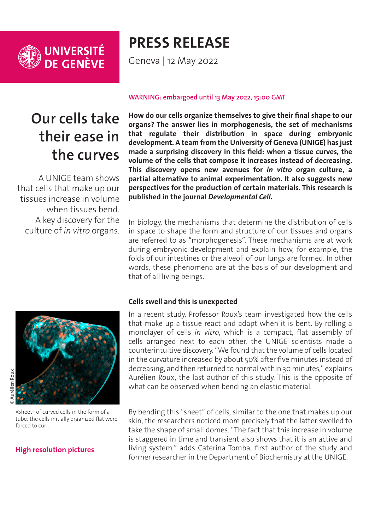

# **PRESS RELEASE**

Geneva | 12 May 2022

## **Our cells take their ease in the curves**

A UNIGE team shows that cells that make up our tissues increase in volume when tissues bend. A key discovery for the culture of *in vitro* organs.

#### **WARNING: embargoed until 13 May 2022, 15:00 GMT**

**How do our cells organize themselves to give their final shape to our organs? The answer lies in morphogenesis, the set of mechanisms that regulate their distribution in space during embryonic development. A team from the University of Geneva (UNIGE) has just made a surprising discovery in this field: when a tissue curves, the volume of the cells that compose it increases instead of decreasing. This discovery opens new avenues for** *in vitro* **organ culture, a partial alternative to animal experimentation. It also suggests new perspectives for the production of certain materials. This research is published in the journal** *Developmental Cell***.**

In biology, the mechanisms that determine the distribution of cells in space to shape the form and structure of our tissues and organs are referred to as "morphogenesis". These mechanisms are at work during embryonic development and explain how, for example, the folds of our intestines or the alveoli of our lungs are formed. In other words, these phenomena are at the basis of our development and that of all living beings.

«Sheet» of curved cells in the form of a tube: the cells initially organized flat were forced to curl.

### **[High resolution pictures](https://phototheque.unige.ch/documents/facets?newFacet=mot.cle.marc%3DCdP_220502_Roux&clearFacets=1)**

#### **Cells swell and this is unexpected**

In a recent study, Professor Roux's team investigated how the cells that make up a tissue react and adapt when it is bent. By rolling a monolayer of cells *in vitro*, which is a compact, flat assembly of cells arranged next to each other, the UNIGE scientists made a counterintuitive discovery. "We found that the volume of cells located in the curvature increased by about 50% after five minutes instead of decreasing, and then returned to normal within 30 minutes," explains Aurélien Roux, the last author of this study. This is the opposite of what can be observed when bending an elastic material.

By bending this "sheet" of cells, similar to the one that makes up our skin, the researchers noticed more precisely that the latter swelled to take the shape of small domes. "The fact that this increase in volume is staggered in time and transient also shows that it is an active and living system," adds Caterina Tomba, first author of the study and former researcher in the Department of Biochemistry at the UNIGE.